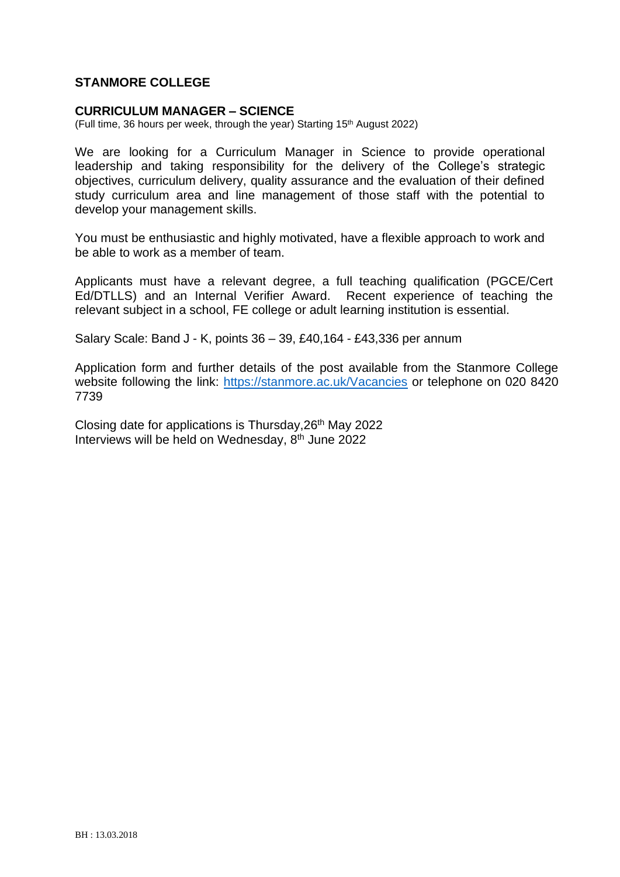### **STANMORE COLLEGE**

#### **CURRICULUM MANAGER – SCIENCE**

(Full time, 36 hours per week, through the year) Starting 15<sup>th</sup> August 2022)

We are looking for a Curriculum Manager in Science to provide operational leadership and taking responsibility for the delivery of the College's strategic objectives, curriculum delivery, quality assurance and the evaluation of their defined study curriculum area and line management of those staff with the potential to develop your management skills.

You must be enthusiastic and highly motivated, have a flexible approach to work and be able to work as a member of team.

Applicants must have a relevant degree, a full teaching qualification (PGCE/Cert Ed/DTLLS) and an Internal Verifier Award. Recent experience of teaching the relevant subject in a school, FE college or adult learning institution is essential.

Salary Scale: Band J - K, points 36 – 39, £40,164 - £43,336 per annum

Application form and further details of the post available from the Stanmore College website following the link:<https://stanmore.ac.uk/Vacancies> or telephone on 020 8420 7739

Closing date for applications is Thursday, 26<sup>th</sup> May 2022 Interviews will be held on Wednesday, 8th June 2022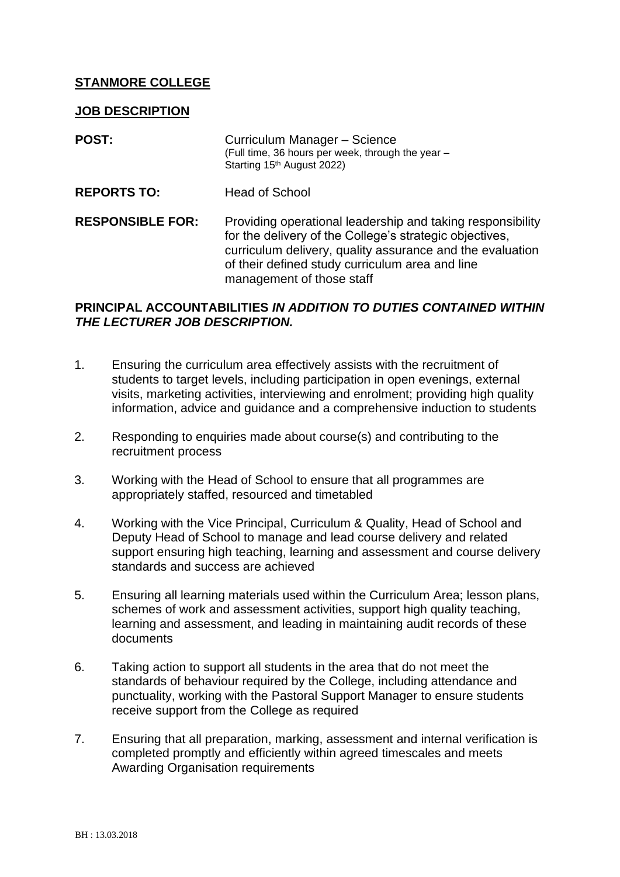## **STANMORE COLLEGE**

#### **JOB DESCRIPTION**

| <b>POST:</b>            | Curriculum Manager - Science<br>(Full time, 36 hours per week, through the year -<br>Starting 15 <sup>th</sup> August 2022)                                                                                                                                        |
|-------------------------|--------------------------------------------------------------------------------------------------------------------------------------------------------------------------------------------------------------------------------------------------------------------|
| <b>REPORTS TO:</b>      | <b>Head of School</b>                                                                                                                                                                                                                                              |
| <b>RESPONSIBLE FOR:</b> | Providing operational leadership and taking responsibility<br>for the delivery of the College's strategic objectives,<br>curriculum delivery, quality assurance and the evaluation<br>of their defined study curriculum area and line<br>management of those staff |

## **PRINCIPAL ACCOUNTABILITIES** *IN ADDITION TO DUTIES CONTAINED WITHIN THE LECTURER JOB DESCRIPTION.*

- 1. Ensuring the curriculum area effectively assists with the recruitment of students to target levels, including participation in open evenings, external visits, marketing activities, interviewing and enrolment; providing high quality information, advice and guidance and a comprehensive induction to students
- 2. Responding to enquiries made about course(s) and contributing to the recruitment process
- 3. Working with the Head of School to ensure that all programmes are appropriately staffed, resourced and timetabled
- 4. Working with the Vice Principal, Curriculum & Quality, Head of School and Deputy Head of School to manage and lead course delivery and related support ensuring high teaching, learning and assessment and course delivery standards and success are achieved
- 5. Ensuring all learning materials used within the Curriculum Area; lesson plans, schemes of work and assessment activities, support high quality teaching, learning and assessment, and leading in maintaining audit records of these documents
- 6. Taking action to support all students in the area that do not meet the standards of behaviour required by the College, including attendance and punctuality, working with the Pastoral Support Manager to ensure students receive support from the College as required
- 7. Ensuring that all preparation, marking, assessment and internal verification is completed promptly and efficiently within agreed timescales and meets Awarding Organisation requirements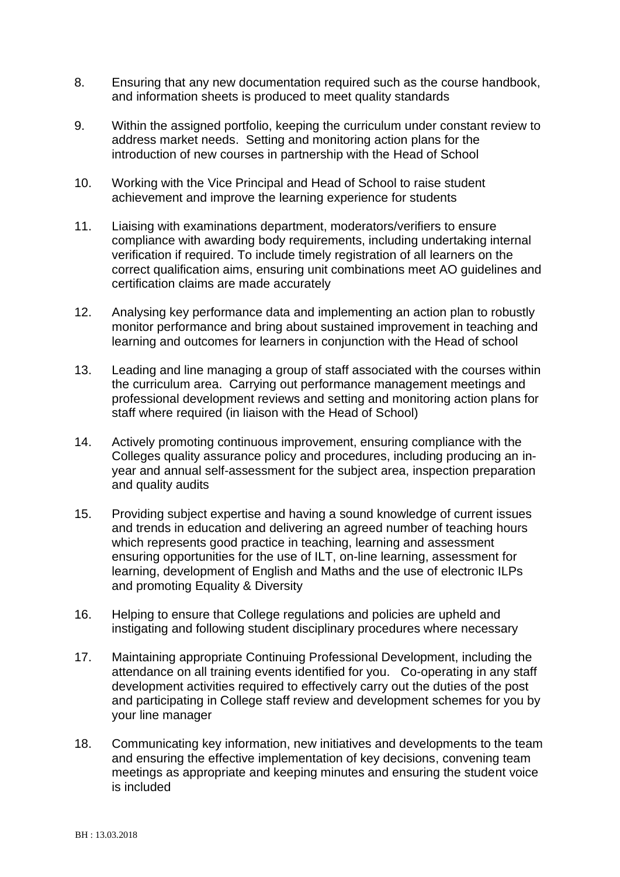- 8. Ensuring that any new documentation required such as the course handbook, and information sheets is produced to meet quality standards
- 9. Within the assigned portfolio, keeping the curriculum under constant review to address market needs. Setting and monitoring action plans for the introduction of new courses in partnership with the Head of School
- 10. Working with the Vice Principal and Head of School to raise student achievement and improve the learning experience for students
- 11. Liaising with examinations department, moderators/verifiers to ensure compliance with awarding body requirements, including undertaking internal verification if required. To include timely registration of all learners on the correct qualification aims, ensuring unit combinations meet AO guidelines and certification claims are made accurately
- 12. Analysing key performance data and implementing an action plan to robustly monitor performance and bring about sustained improvement in teaching and learning and outcomes for learners in conjunction with the Head of school
- 13. Leading and line managing a group of staff associated with the courses within the curriculum area. Carrying out performance management meetings and professional development reviews and setting and monitoring action plans for staff where required (in liaison with the Head of School)
- 14. Actively promoting continuous improvement, ensuring compliance with the Colleges quality assurance policy and procedures, including producing an inyear and annual self-assessment for the subject area, inspection preparation and quality audits
- 15. Providing subject expertise and having a sound knowledge of current issues and trends in education and delivering an agreed number of teaching hours which represents good practice in teaching, learning and assessment ensuring opportunities for the use of ILT, on-line learning, assessment for learning, development of English and Maths and the use of electronic ILPs and promoting Equality & Diversity
- 16. Helping to ensure that College regulations and policies are upheld and instigating and following student disciplinary procedures where necessary
- 17. Maintaining appropriate Continuing Professional Development, including the attendance on all training events identified for you. Co-operating in any staff development activities required to effectively carry out the duties of the post and participating in College staff review and development schemes for you by your line manager
- 18. Communicating key information, new initiatives and developments to the team and ensuring the effective implementation of key decisions, convening team meetings as appropriate and keeping minutes and ensuring the student voice is included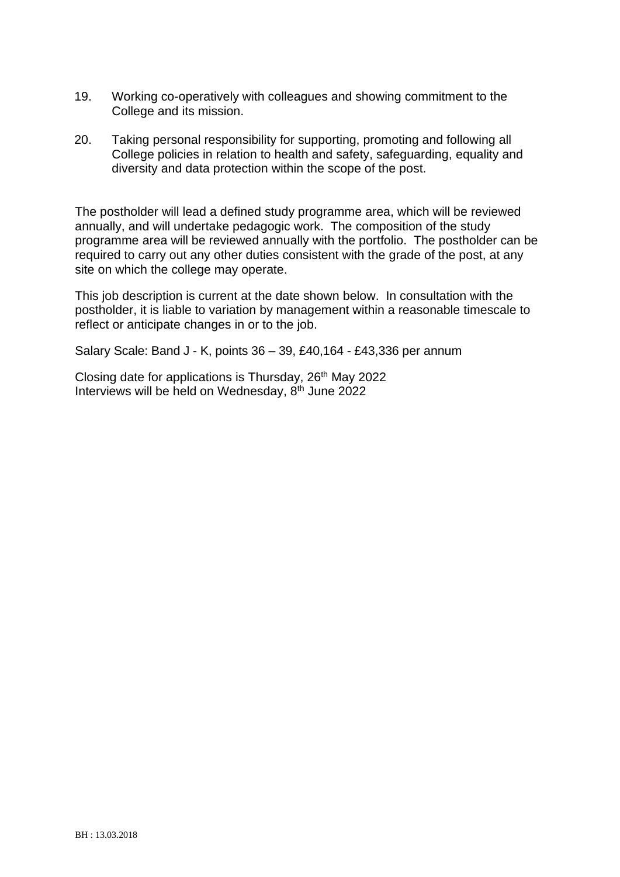- 19. Working co-operatively with colleagues and showing commitment to the College and its mission.
- 20. Taking personal responsibility for supporting, promoting and following all College policies in relation to health and safety, safeguarding, equality and diversity and data protection within the scope of the post.

The postholder will lead a defined study programme area, which will be reviewed annually, and will undertake pedagogic work. The composition of the study programme area will be reviewed annually with the portfolio. The postholder can be required to carry out any other duties consistent with the grade of the post, at any site on which the college may operate.

This job description is current at the date shown below. In consultation with the postholder, it is liable to variation by management within a reasonable timescale to reflect or anticipate changes in or to the job.

Salary Scale: Band J - K, points 36 – 39, £40,164 - £43,336 per annum

Closing date for applications is Thursday, 26<sup>th</sup> May 2022 Interviews will be held on Wednesday,  $8<sup>th</sup>$  June 2022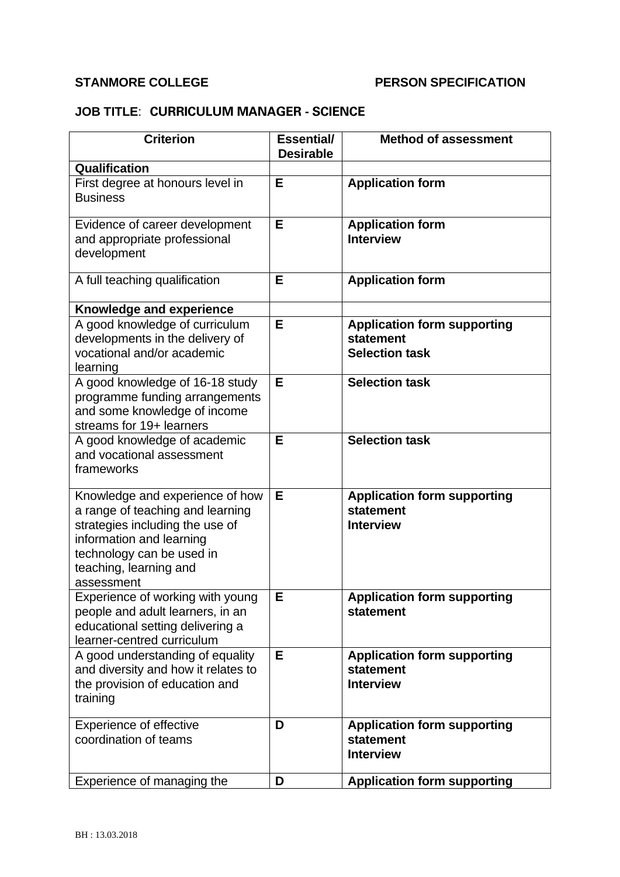# **STANMORE COLLEGE PERSON SPECIFICATION**

# **JOB TITLE**: **CURRICULUM MANAGER - SCIENCE**

| <b>Criterion</b>                                                                                                                                                                                        | <b>Essential/</b><br><b>Desirable</b> | <b>Method of assessment</b>                                              |
|---------------------------------------------------------------------------------------------------------------------------------------------------------------------------------------------------------|---------------------------------------|--------------------------------------------------------------------------|
| Qualification                                                                                                                                                                                           |                                       |                                                                          |
| First degree at honours level in<br><b>Business</b>                                                                                                                                                     | Е                                     | <b>Application form</b>                                                  |
| Evidence of career development<br>and appropriate professional<br>development                                                                                                                           | E                                     | <b>Application form</b><br><b>Interview</b>                              |
| A full teaching qualification                                                                                                                                                                           | E                                     | <b>Application form</b>                                                  |
| Knowledge and experience                                                                                                                                                                                |                                       |                                                                          |
| A good knowledge of curriculum<br>developments in the delivery of<br>vocational and/or academic<br>learning                                                                                             | E                                     | <b>Application form supporting</b><br>statement<br><b>Selection task</b> |
| A good knowledge of 16-18 study<br>programme funding arrangements<br>and some knowledge of income<br>streams for 19+ learners                                                                           | E                                     | <b>Selection task</b>                                                    |
| A good knowledge of academic<br>and vocational assessment<br>frameworks                                                                                                                                 | E                                     | <b>Selection task</b>                                                    |
| Knowledge and experience of how<br>a range of teaching and learning<br>strategies including the use of<br>information and learning<br>technology can be used in<br>teaching, learning and<br>assessment | Е                                     | <b>Application form supporting</b><br>statement<br><b>Interview</b>      |
| Experience of working with young<br>people and adult learners, in an<br>educational setting delivering a<br>learner-centred curriculum                                                                  | E                                     | <b>Application form supporting</b><br>statement                          |
| A good understanding of equality<br>and diversity and how it relates to<br>the provision of education and<br>training                                                                                   | E                                     | <b>Application form supporting</b><br>statement<br><b>Interview</b>      |
| <b>Experience of effective</b><br>coordination of teams                                                                                                                                                 | D                                     | <b>Application form supporting</b><br>statement<br><b>Interview</b>      |
| Experience of managing the                                                                                                                                                                              | D                                     | <b>Application form supporting</b>                                       |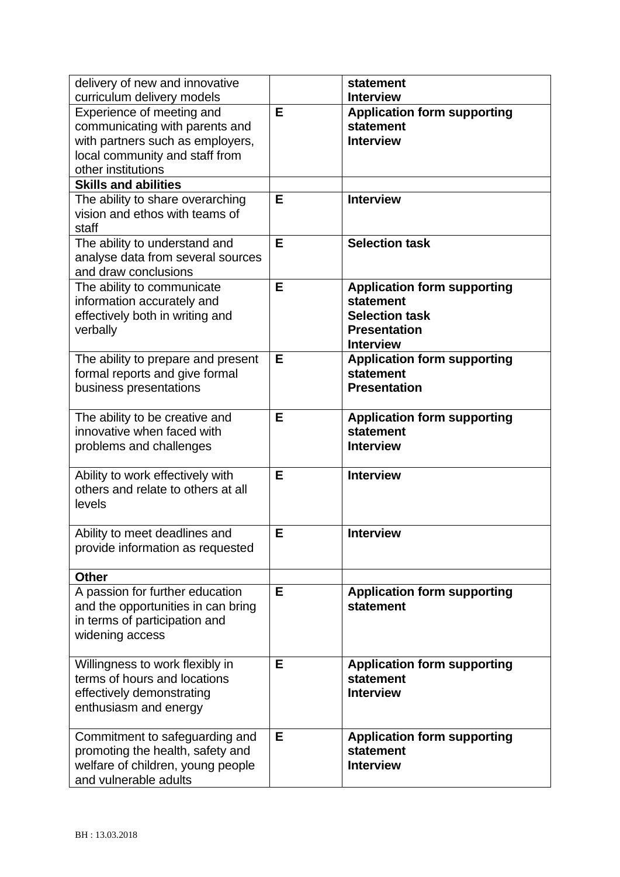| delivery of new and innovative     |   | statement                          |
|------------------------------------|---|------------------------------------|
| curriculum delivery models         |   | <b>Interview</b>                   |
| Experience of meeting and          | E | <b>Application form supporting</b> |
| communicating with parents and     |   | statement                          |
| with partners such as employers,   |   | <b>Interview</b>                   |
| local community and staff from     |   |                                    |
| other institutions                 |   |                                    |
| <b>Skills and abilities</b>        |   |                                    |
| The ability to share overarching   | E | <b>Interview</b>                   |
| vision and ethos with teams of     |   |                                    |
| staff                              |   |                                    |
| The ability to understand and      | E | <b>Selection task</b>              |
| analyse data from several sources  |   |                                    |
| and draw conclusions               |   |                                    |
| The ability to communicate         | E | <b>Application form supporting</b> |
| information accurately and         |   | statement                          |
| effectively both in writing and    |   | <b>Selection task</b>              |
| verbally                           |   | <b>Presentation</b>                |
|                                    |   | <b>Interview</b>                   |
| The ability to prepare and present | Е | <b>Application form supporting</b> |
| formal reports and give formal     |   | statement                          |
| business presentations             |   | <b>Presentation</b>                |
|                                    |   |                                    |
| The ability to be creative and     | E | <b>Application form supporting</b> |
| innovative when faced with         |   | statement                          |
| problems and challenges            |   | <b>Interview</b>                   |
|                                    |   |                                    |
| Ability to work effectively with   | E | <b>Interview</b>                   |
| others and relate to others at all |   |                                    |
| levels                             |   |                                    |
|                                    |   |                                    |
| Ability to meet deadlines and      | Е | <b>Interview</b>                   |
| provide information as requested   |   |                                    |
|                                    |   |                                    |
| <b>Other</b>                       |   |                                    |
| A passion for further education    | Е | <b>Application form supporting</b> |
| and the opportunities in can bring |   | statement                          |
| in terms of participation and      |   |                                    |
| widening access                    |   |                                    |
|                                    |   |                                    |
| Willingness to work flexibly in    | E | <b>Application form supporting</b> |
| terms of hours and locations       |   | statement                          |
| effectively demonstrating          |   | <b>Interview</b>                   |
| enthusiasm and energy              |   |                                    |
|                                    |   |                                    |
| Commitment to safeguarding and     | Е | <b>Application form supporting</b> |
| promoting the health, safety and   |   | <b>statement</b>                   |
| welfare of children, young people  |   | <b>Interview</b>                   |
| and vulnerable adults              |   |                                    |